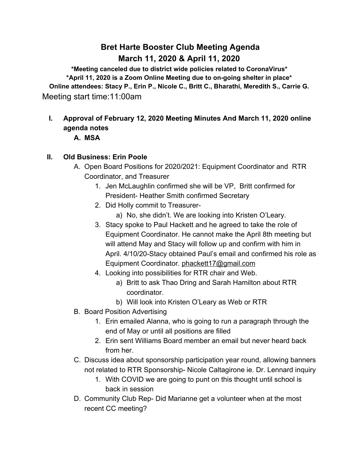## **Bret Harte Booster Club Meeting Agenda March 11, 2020 & April 11, 2020**

**\*Meeting canceled due to district wide policies related to CoronaVirus\* \*April 11, 2020 is a Zoom Online Meeting due to on-going shelter in place\* Online attendees: Stacy P., Erin P., Nicole C., Britt C., Bharathi, Meredith S., Carrie G.** Meeting start time:11:00am

# **I. Approval of February 12, 2020 Meeting Minutes And March 11, 2020 online agenda notes**

#### **A. MSA**

## **II. Old Business: Erin Poole**

- A. Open Board Positions for 2020/2021: Equipment Coordinator and RTR Coordinator, and Treasurer
	- 1. Jen McLaughlin confirmed she will be VP, Britt confirmed for President- Heather Smith confirmed Secretary
	- 2. Did Holly commit to Treasurer
		- a) No, she didn't. We are looking into Kristen O'Leary.
	- 3. Stacy spoke to Paul Hackett and he agreed to take the role of Equipment Coordinator. He cannot make the April 8th meeting but will attend May and Stacy will follow up and confirm with him in April. 4/10/20-Stacy obtained Paul's email and confirmed his role as Equipment Coordinator. [phackett17@gmail.com](mailto:phackett17@gmail.com)
	- 4. Looking into possibilities for RTR chair and Web.
		- a) Britt to ask Thao Dring and Sarah Hamilton about RTR coordinator.
		- b) Will look into Kristen O'Leary as Web or RTR
- B. Board Position Advertising
	- 1. Erin emailed Alanna, who is going to run a paragraph through the end of May or until all positions are filled
	- 2. Erin sent Williams Board member an email but never heard back from her.
- C. Discuss idea about sponsorship participation year round, allowing banners not related to RTR Sponsorship- Nicole Caltagirone ie. Dr. Lennard inquiry
	- 1. With COVID we are going to punt on this thought until school is back in session
- D. Community Club Rep- Did Marianne get a volunteer when at the most recent CC meeting?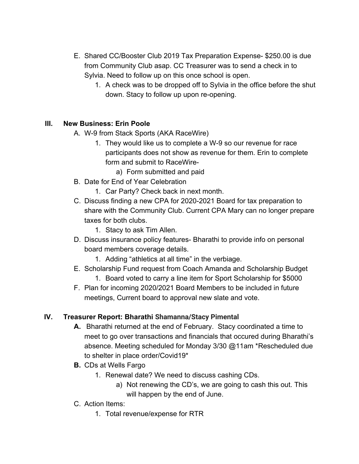- E. Shared CC/Booster Club 2019 Tax Preparation Expense- \$250.00 is due from Community Club asap. CC Treasurer was to send a check in to Sylvia. Need to follow up on this once school is open.
	- 1. A check was to be dropped off to Sylvia in the office before the shut down. Stacy to follow up upon re-opening.

## **III. New Business: Erin Poole**

- A. W-9 from Stack Sports (AKA RaceWire)
	- 1. They would like us to complete a W-9 so our revenue for race participants does not show as revenue for them. Erin to complete form and submit to RaceWire
		- a) Form submitted and paid
- B. Date for End of Year Celebration
	- 1. Car Party? Check back in next month.
- C. Discuss finding a new CPA for 2020-2021 Board for tax preparation to share with the Community Club. Current CPA Mary can no longer prepare taxes for both clubs.
	- 1. Stacy to ask Tim Allen.
- D. Discuss insurance policy features- Bharathi to provide info on personal board members coverage details.
	- 1. Adding "athletics at all time" in the verbiage.
- E. Scholarship Fund request from Coach Amanda and Scholarship Budget 1. Board voted to carry a line item for Sport Scholarship for \$5000
- F. Plan for incoming 2020/2021 Board Members to be included in future meetings, Current board to approval new slate and vote.

## **IV. Treasurer Report: Bharathi Shamanna/Stacy Pimental**

- **A.** Bharathi returned at the end of February. Stacy coordinated a time to meet to go over transactions and financials that occured during Bharathi's absence. Meeting scheduled for Monday 3/30 @11am \*Rescheduled due to shelter in place order/Covid19\*
- **B.** CDs at Wells Fargo
	- 1. Renewal date? We need to discuss cashing CDs.
		- a) Not renewing the CD's, we are going to cash this out. This will happen by the end of June.
- C. Action Items:
	- 1. Total revenue/expense for RTR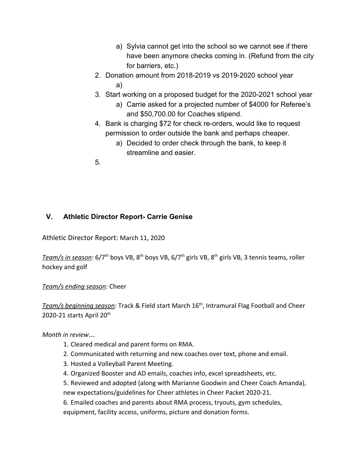- a) Sylvia cannot get into the school so we cannot see if there have been anymore checks coming in. (Refund from the city for barriers, etc.)
- 2. Donation amount from 2018-2019 vs 2019-2020 school year a)
- 3. Start working on a proposed budget for the 2020-2021 school year
	- a) Carrie asked for a projected number of \$4000 for Referee's and \$50,700.00 for Coaches stipend.
- 4. Bank is charging \$72 for check re-orders, would like to request permission to order outside the bank and perhaps cheaper.
	- a) Decided to order check through the bank, to keep it streamline and easier.
- 5.

## **V. Athletic Director Report- Carrie Genise**

Athletic Director Report: March 11, 2020

<u>Team/s in season</u>: 6/7<sup>th</sup> boys VB, 8<sup>th</sup> boys VB, 6/7<sup>th</sup> girls VB, 8<sup>th</sup> girls VB, 3 tennis teams, roller hockey and golf

*Team/s ending season*: Cheer

*Team/s beginning season*: Track & Field start March 16th , Intramural Flag Football and Cheer 2020-21 starts April 20<sup>th</sup>

*Month in review*…

- 1. Cleared medical and parent forms on RMA.
- 2. Communicated with returning and new coaches over text, phone and email.
- 3. Hosted a Volleyball Parent Meeting.
- 4. Organized Booster and AD emails, coaches info, excel spreadsheets, etc.

5. Reviewed and adopted (along with Marianne Goodwin and Cheer Coach Amanda), new expectations/guidelines for Cheer athletes in Cheer Packet 2020-21.

6. Emailed coaches and parents about RMA process, tryouts, gym schedules,

equipment, facility access, uniforms, picture and donation forms.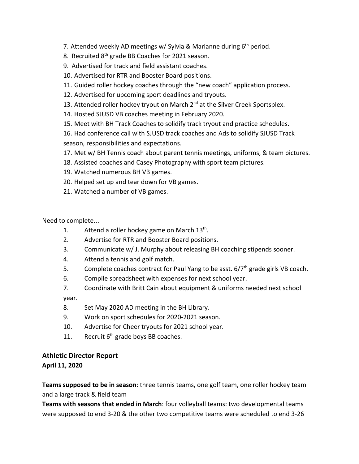- 7. Attended weekly AD meetings w/ Sylvia & Marianne during 6<sup>th</sup> period.
- 8. Recruited 8<sup>th</sup> grade BB Coaches for 2021 season.
- 9. Advertised for track and field assistant coaches.
- 10. Advertised for RTR and Booster Board positions.
- 11. Guided roller hockey coaches through the "new coach" application process.
- 12. Advertised for upcoming sport deadlines and tryouts.
- 13. Attended roller hockey tryout on March 2<sup>nd</sup> at the Silver Creek Sportsplex.
- 14. Hosted SJUSD VB coaches meeting in February 2020.
- 15. Meet with BH Track Coaches to solidify track tryout and practice schedules.
- 16. Had conference call with SJUSD track coaches and Ads to solidify SJUSD Track season, responsibilities and expectations.
- 17. Met w/ BH Tennis coach about parent tennis meetings, uniforms, & team pictures.
- 18. Assisted coaches and Casey Photography with sport team pictures.
- 19. Watched numerous BH VB games.
- 20. Helped set up and tear down for VB games.
- 21. Watched a number of VB games.

Need to complete…

- 1. Attend a roller hockey game on March  $13<sup>th</sup>$ .
- 2. Advertise for RTR and Booster Board positions.
- 3. Communicate w/ J. Murphy about releasing BH coaching stipends sooner.
- 4. Attend a tennis and golf match.
- 5. Complete coaches contract for Paul Yang to be asst.  $6/7<sup>th</sup>$  grade girls VB coach.
- 6. Compile spreadsheet with expenses for next school year.
- 7. Coordinate with Britt Cain about equipment & uniforms needed next school

year.

- 8. Set May 2020 AD meeting in the BH Library.
- 9. Work on sport schedules for 2020-2021 season.
- 10. Advertise for Cheer tryouts for 2021 school year.
- 11. Recruit  $6<sup>th</sup>$  grade boys BB coaches.

## **Athletic Director Report**

**April 11, 2020**

**Teams supposed to be in season**: three tennis teams, one golf team, one roller hockey team and a large track & field team

**Teams with seasons that ended in March**: four volleyball teams: two developmental teams were supposed to end 3-20 & the other two competitive teams were scheduled to end 3-26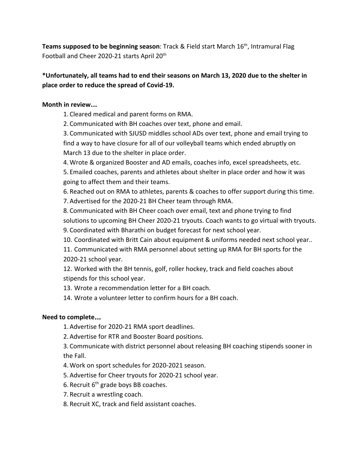**Teams supposed to be beginning season**: Track & Field start March 16<sup>th</sup>, Intramural Flag Football and Cheer 2020-21 starts April 20<sup>th</sup>

#### **\*Unfortunately, all teams had to end their seasons on March 13, 2020 due to the shelter in place order to reduce the spread of Covid-19.**

#### **Month in review**…

1. Cleared medical and parent forms on RMA.

2. Communicated with BH coaches over text, phone and email.

3. Communicated with SJUSD middles school ADs over text, phone and email trying to find a way to have closure for all of our volleyball teams which ended abruptly on March 13 due to the shelter in place order.

4.Wrote & organized Booster and AD emails, coaches info, excel spreadsheets, etc.

5. Emailed coaches, parents and athletes about shelter in place order and how it was going to affect them and their teams.

6. Reached out on RMA to athletes, parents & coaches to offer support during this time.

7. Advertised for the 2020-21 BH Cheer team through RMA.

8. Communicated with BH Cheer coach over email, text and phone trying to find solutions to upcoming BH Cheer 2020-21 tryouts. Coach wants to go virtual with tryouts. 9. Coordinated with Bharathi on budget forecast for next school year.

10. Coordinated with Britt Cain about equipment & uniforms needed next school year..

11. Communicated with RMA personnel about setting up RMA for BH sports for the 2020-21 school year.

12. Worked with the BH tennis, golf, roller hockey, track and field coaches about stipends for this school year.

13. Wrote a recommendation letter for a BH coach.

14. Wrote a volunteer letter to confirm hours for a BH coach.

#### **Need to complete**…

1. Advertise for 2020-21 RMA sport deadlines.

2. Advertise for RTR and Booster Board positions.

3. Communicate with district personnel about releasing BH coaching stipends sooner in the Fall.

4.Work on sport schedules for 2020-2021 season.

5. Advertise for Cheer tryouts for 2020-21 school year.

6. Recruit 6<sup>th</sup> grade boys BB coaches.

7. Recruit a wrestling coach.

8. Recruit XC, track and field assistant coaches.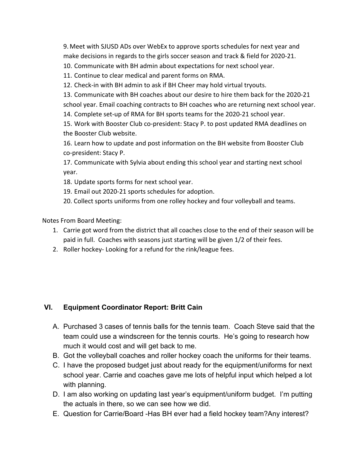9. Meet with SJUSD ADs over WebEx to approve sports schedules for next year and make decisions in regards to the girls soccer season and track & field for 2020-21.

10. Communicate with BH admin about expectations for next school year.

11. Continue to clear medical and parent forms on RMA.

12. Check-in with BH admin to ask if BH Cheer may hold virtual tryouts.

13. Communicate with BH coaches about our desire to hire them back for the 2020-21 school year. Email coaching contracts to BH coaches who are returning next school year.

14. Complete set-up of RMA for BH sports teams for the 2020-21 school year.

15. Work with Booster Club co-president: Stacy P. to post updated RMA deadlines on the Booster Club website.

16. Learn how to update and post information on the BH website from Booster Club co-president: Stacy P.

17. Communicate with Sylvia about ending this school year and starting next school year.

18. Update sports forms for next school year.

19. Email out 2020-21 sports schedules for adoption.

20. Collect sports uniforms from one rolley hockey and four volleyball and teams.

Notes From Board Meeting:

- 1. Carrie got word from the district that all coaches close to the end of their season will be paid in full. Coaches with seasons just starting will be given 1/2 of their fees.
- 2. Roller hockey- Looking for a refund for the rink/league fees.

#### **VI. Equipment Coordinator Report: Britt Cain**

- A. Purchased 3 cases of tennis balls for the tennis team. Coach Steve said that the team could use a windscreen for the tennis courts. He's going to research how much it would cost and will get back to me.
- B. Got the volleyball coaches and roller hockey coach the uniforms for their teams.
- C. I have the proposed budget just about ready for the equipment/uniforms for next school year. Carrie and coaches gave me lots of helpful input which helped a lot with planning.
- D. I am also working on updating last year's equipment/uniform budget. I'm putting the actuals in there, so we can see how we did.
- E. Question for Carrie/Board -Has BH ever had a field hockey team?Any interest?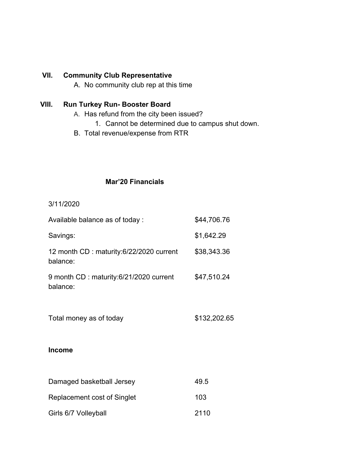#### **VII. Community Club Representative**

A. No community club rep at this time

## **VIII. Run Turkey Run- Booster Board**

- A. Has refund from the city been issued?
	- 1. Cannot be determined due to campus shut down.
- B. Total revenue/expense from RTR

## **Mar'20 Financials**

3/11/2020

| Available balance as of today:                      | \$44,706.76  |
|-----------------------------------------------------|--------------|
| Savings:                                            | \$1,642.29   |
| 12 month CD: maturity:6/22/2020 current<br>balance: | \$38,343.36  |
| 9 month CD: maturity:6/21/2020 current<br>balance:  | \$47,510.24  |
| Total money as of today                             | \$132,202.65 |
| <b>Income</b>                                       |              |
| Damaged basketball Jersey                           | 49.5         |
| Replacement cost of Singlet                         | 103          |
| Girls 6/7 Volleyball                                | 2110         |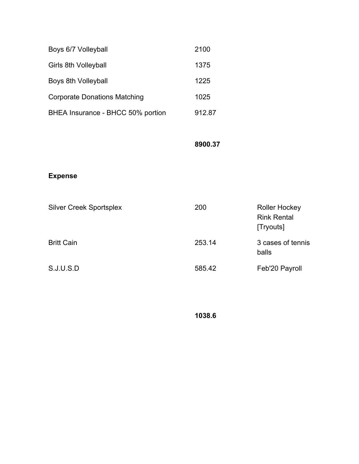| Boys 6/7 Volleyball                 | 2100   |
|-------------------------------------|--------|
| Girls 8th Volleyball                | 1375   |
| Boys 8th Volleyball                 | 1225   |
| <b>Corporate Donations Matching</b> | 1025   |
| BHEA Insurance - BHCC 50% portion   | 912.87 |

## **8900.37**

## **Expense**

| <b>Silver Creek Sportsplex</b> | 200    | <b>Roller Hockey</b><br><b>Rink Rental</b><br>[Tryouts] |
|--------------------------------|--------|---------------------------------------------------------|
| <b>Britt Cain</b>              | 253.14 | 3 cases of tennis<br>balls                              |
| S.J.U.S.D                      | 585.42 | Feb'20 Payroll                                          |

**1038.6**